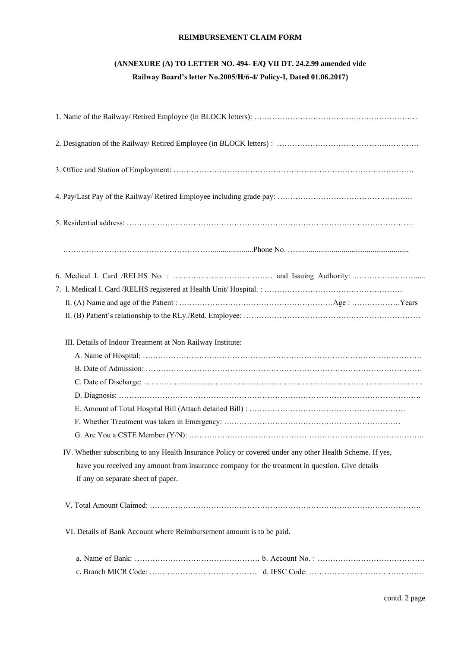### **REIMBURSEMENT CLAIM FORM**

# **(ANNEXURE (A) TO LETTER NO. 494- E/Q VII DT. 24.2.99 amended vide Railway Board's letter No.2005/H/6-4/ Policy-I, Dated 01.06.2017)**

| III. Details of Indoor Treatment at Non Railway Institute:                                               |
|----------------------------------------------------------------------------------------------------------|
|                                                                                                          |
|                                                                                                          |
|                                                                                                          |
|                                                                                                          |
|                                                                                                          |
| IV. Whether subscribing to any Health Insurance Policy or covered under any other Health Scheme. If yes, |
| have you received any amount from insurance company for the treatment in question. Give details          |
| if any on separate sheet of paper.                                                                       |
|                                                                                                          |
| VI. Details of Bank Account where Reimbursement amount is to be paid.                                    |
|                                                                                                          |
|                                                                                                          |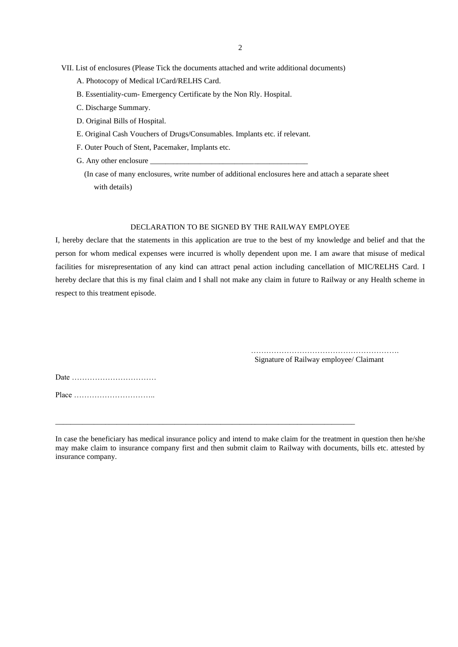VII. List of enclosures (Please Tick the documents attached and write additional documents)

- A. Photocopy of Medical I/Card/RELHS Card.
- B. Essentiality-cum- Emergency Certificate by the Non Rly. Hospital.
- C. Discharge Summary.
- D. Original Bills of Hospital.
- E. Original Cash Vouchers of Drugs/Consumables. Implants etc. if relevant.
- F. Outer Pouch of Stent, Pacemaker, Implants etc.
- G. Any other enclosure
- (In case of many enclosures, write number of additional enclosures here and attach a separate sheet with details)

#### DECLARATION TO BE SIGNED BY THE RAILWAY EMPLOYEE

I, hereby declare that the statements in this application are true to the best of my knowledge and belief and that the person for whom medical expenses were incurred is wholly dependent upon me. I am aware that misuse of medical facilities for misrepresentation of any kind can attract penal action including cancellation of MIC/RELHS Card. I hereby declare that this is my final claim and I shall not make any claim in future to Railway or any Health scheme in respect to this treatment episode.

> …………………………………………………. Signature of Railway employee/ Claimant

Date …………………………… Place …………………………..

In case the beneficiary has medical insurance policy and intend to make claim for the treatment in question then he/she may make claim to insurance company first and then submit claim to Railway with documents, bills etc. attested by insurance company.

\_\_\_\_\_\_\_\_\_\_\_\_\_\_\_\_\_\_\_\_\_\_\_\_\_\_\_\_\_\_\_\_\_\_\_\_\_\_\_\_\_\_\_\_\_\_\_\_\_\_\_\_\_\_\_\_\_\_\_\_\_\_\_\_\_\_\_\_\_\_\_\_\_\_\_\_\_\_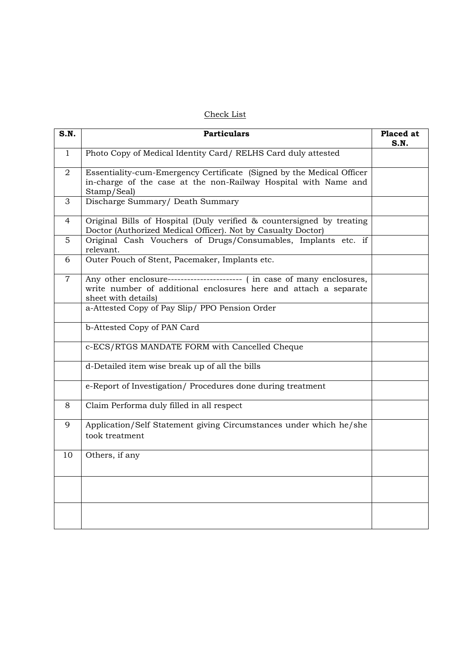### Check List

| S.N.         | <b>Particulars</b>                                                                                                                                                 | Placed at<br>S.N. |
|--------------|--------------------------------------------------------------------------------------------------------------------------------------------------------------------|-------------------|
| $\mathbf{1}$ | Photo Copy of Medical Identity Card/RELHS Card duly attested                                                                                                       |                   |
| 2            | Essentiality-cum-Emergency Certificate (Signed by the Medical Officer<br>in-charge of the case at the non-Railway Hospital with Name and<br>Stamp/Seal)            |                   |
| 3            | Discharge Summary/ Death Summary                                                                                                                                   |                   |
| 4            | Original Bills of Hospital (Duly verified & countersigned by treating<br>Doctor (Authorized Medical Officer). Not by Casualty Doctor)                              |                   |
| 5            | Original Cash Vouchers of Drugs/Consumables, Implants etc. if<br>relevant.                                                                                         |                   |
| 6            | Outer Pouch of Stent, Pacemaker, Implants etc.                                                                                                                     |                   |
| $\mathbf{7}$ | Any other enclosure----------------------- (in case of many enclosures,<br>write number of additional enclosures here and attach a separate<br>sheet with details) |                   |
|              | a-Attested Copy of Pay Slip/ PPO Pension Order                                                                                                                     |                   |
|              | b-Attested Copy of PAN Card                                                                                                                                        |                   |
|              | c-ECS/RTGS MANDATE FORM with Cancelled Cheque                                                                                                                      |                   |
|              | d-Detailed item wise break up of all the bills                                                                                                                     |                   |
|              | e-Report of Investigation/ Procedures done during treatment                                                                                                        |                   |
| 8            | Claim Performa duly filled in all respect                                                                                                                          |                   |
| 9            | Application/Self Statement giving Circumstances under which he/she<br>took treatment                                                                               |                   |
| 10           | Others, if any                                                                                                                                                     |                   |
|              |                                                                                                                                                                    |                   |
|              |                                                                                                                                                                    |                   |